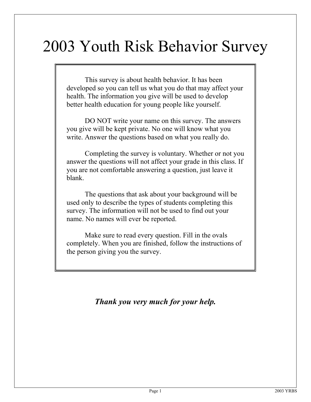# 2003 Youth Risk Behavior Survey

This survey is about health behavior. It has been developed so you can tell us what you do that may affect your health. The information you give will be used to develop better health education for young people like yourself.

DO NOT write your name on this survey. The answers you give will be kept private. No one will know what you write. Answer the questions based on what you really do.

Completing the survey is voluntary. Whether or not you answer the questions will not affect your grade in this class. If you are not comfortable answering a question, just leave it blank.

The questions that ask about your background will be used only to describe the types of students completing this survey. The information will not be used to find out your name. No names will ever be reported.

Make sure to read every question. Fill in the ovals completely. When you are finished, follow the instructions of the person giving you the survey.

*Thank you very much for your help.*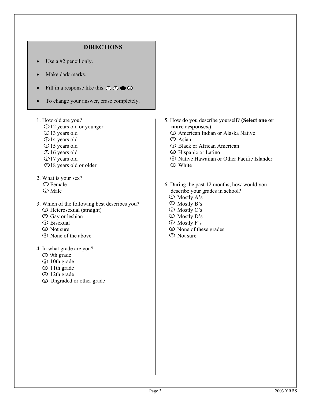### **DIRECTIONS**

- Use a #2 pencil only.
- Make dark marks.
- Fill in a response like this:  $\odot$   $\odot$   $\odot$
- To change your answer, erase completely.
- 1. How old are you?

I

- D<sub>12</sub> years old or younger
- 13 years old 2
- D<sub>14</sub> years old
- 15 years old 4
- D 16 years old
- D17 years old
- $D18$  years old or older
- 2. What is your sex? D Female ව Male
- 3. Which of the following best describes you?
	- D Heterosexual (straight)
	- Gay or lesbian 2
	- D Bisexual
	- Not sure 4
	- None of the above 5
- 4. In what grade are you?
	- D 9th grade
	- 10th grade 2
	- 11th grade 3
	- 12th grade 4
	- Ungraded or other grade 5
- 5. How do you describe yourself? **(Select one or more responses.)** 
	- American Indian or Alaska Native 1
	- Asian 2
	- Black or African American 3
	- Hispanic or Latino 4
	- Native Hawaiian or Other Pacific Islander 5
	- **D** White
- 6. During the past 12 months, how would you describe your grades in school?
	- Mostly A's 1
	- Mostly B's 2
	- Mostly C's 3
	- Mostly D's 4
	- Mostly F's 5
	- None of these grades
	- $\mathcal{D}$  Not sure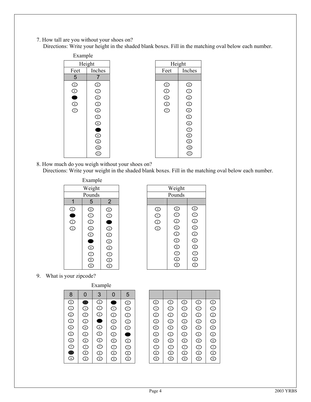- 7. How tall are you without your shoes on?
	- Directions: Write your height in the shaded blank boxes. Fill in the matching oval below each number.

| Example |                                              |                |                             |
|---------|----------------------------------------------|----------------|-----------------------------|
| Height  |                                              | Height         |                             |
| Feet    | Inches                                       | Feet           | Inches                      |
| 5       |                                              |                |                             |
| $\odot$ | $\odot$                                      | $\circledcirc$ |                             |
|         | $\odot$                                      | $\bigcirc$     |                             |
| $\odot$ | $\odot$                                      | $\odot$        |                             |
|         | $\odot$                                      | ම<br>ග         |                             |
| $\odot$ | $\odot$                                      |                |                             |
|         | $\odot$                                      |                |                             |
|         |                                              |                |                             |
|         |                                              |                |                             |
|         |                                              |                |                             |
|         | $\circledcirc$ $\circledcirc$ $\circledcirc$ |                |                             |
|         |                                              |                |                             |
|         | ⊕                                            |                | $^{\tiny{\textregistered}}$ |

8. How much do you weigh without your shoes on? Directions: Write your weight in the shaded blank boxes. Fill in the matching oval below each number.



| Weight     |                          |                         |  |  |  |  |  |
|------------|--------------------------|-------------------------|--|--|--|--|--|
| Pounds     |                          |                         |  |  |  |  |  |
|            |                          |                         |  |  |  |  |  |
| ⊙          | ⊙                        | ⊙                       |  |  |  |  |  |
| $_{\odot}$ | $\bar{\odot}$            | $\mathbb G$             |  |  |  |  |  |
| ☺          | ⓒ                        | ☺                       |  |  |  |  |  |
| ෬          | ⊙                        | G)                      |  |  |  |  |  |
|            | €                        | ¢                       |  |  |  |  |  |
|            | G                        | G                       |  |  |  |  |  |
|            | ⓒ                        | ⓒ                       |  |  |  |  |  |
|            | $\mathcal{C}$            | J                       |  |  |  |  |  |
|            | $\overline{\mathbf{3}}$  | $\overline{\mathbf{8}}$ |  |  |  |  |  |
|            | $\widehat{\mathfrak{s}}$ | $\overline{9}$          |  |  |  |  |  |

9. What is your zipcode?

| Example       |                         |                        |                                    |                        |  |
|---------------|-------------------------|------------------------|------------------------------------|------------------------|--|
| 8             | $\overline{0}$          | 3                      | 0                                  | 5                      |  |
| ⊙             | $\bullet$               | ⊙                      | ۸                                  |                        |  |
| $\bar{\odot}$ | $\overline{\mathbb{O}}$ | $\dot{\odot}$          | $\odot$                            | ©<br>①                 |  |
| $\odot$       | $\mathfrak D$           | $\widehat{\mathbb{E}}$ | $\widehat{\mathbb{E}}$             | $\widehat{\mathbb{E}}$ |  |
| T             | $\odot$                 | Ó                      | 3                                  | $\widehat{\mathbb{E}}$ |  |
| $\odot$       | $\bigodot$              | €                      | €                                  | $\widehat{\mathbb{E}}$ |  |
| G             | $\odot$                 | Ξ                      | Ξ                                  | $\bullet$              |  |
| C             | $\widehat{\mathbb{C}}$  | $\widehat{\mathbf{e}}$ | $\widehat{\mathbf{e}}$             | €                      |  |
| ()<br>9       | T                       | T                      | T                                  | T                      |  |
|               | $\widehat{\mathbb{E}}$  | ͡                      | $\overline{\widehat{\varepsilon}}$ | $\widehat{\mathbb{E}}$ |  |
|               | 9                       | 9                      | $\sqrt{9}$                         | 9                      |  |

| ⊙                                          | ⊙                                                                                                          | હ                       | ⊙                       | ⊙                      |
|--------------------------------------------|------------------------------------------------------------------------------------------------------------|-------------------------|-------------------------|------------------------|
| $\odot$                                    | $\odot$                                                                                                    | $\odot$                 | Œ                       | $\odot$                |
| $\odot$                                    | $\circled{2}$                                                                                              | ⊚                       | $\widehat{\mathbb{E}}$  | $\widehat{\mathbb{C}}$ |
| $\odot$                                    | $\circledcirc$                                                                                             | ⊚                       | $\circledcirc$          | T                      |
| $\overline{\mathbb{D}}$                    | $\widehat{\mathbb{E}}$                                                                                     | $\widehat{\mathbb{E}}$  | T                       | $\widehat{\mathbb{E}}$ |
| $\mathbb{S}$                               | $\mathbb{S}% _{T}=\mathbb{S}_{T}\!\left( a,b\right) ,\ \mathbb{S}_{T}=\mathbb{S}_{T}\!\left( a,b\right) ,$ | ك                       | ٤                       | $\mathbb{S}$           |
| $_{\textcolor{red}{\widehat{\mathbb{C}}}}$ | $\widehat{\mathbb{C}}$                                                                                     | $\circledcirc$          | $\widehat{\mathbb{C}}$  | $\widehat{\mathbb{C}}$ |
| $\overline{C}$                             | $\odot$                                                                                                    | $\widehat{\mathbb{C}}$  | $\widehat{\mathcal{D}}$ | T                      |
| $\circledcirc$                             | $\widehat{\mathbb{E}}$                                                                                     | $\widehat{\mathcal{E}}$ | $\widehat{\mathcal{E}}$ | T                      |
| $\widehat{\mathbb{E}}$                     | Ξ                                                                                                          | ္ခ                      | $\overline{9}$          | Ξ                      |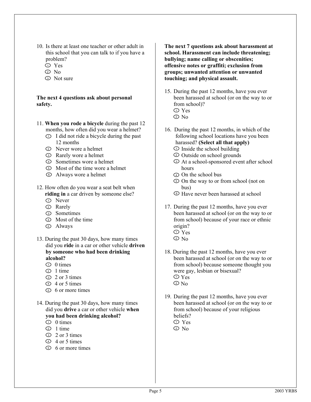- 10. Is there at least one teacher or other adult in this school that you can talk to if you have a problem?
	- Yes 1
	- $\mathfrak{D}$  No
	- D Not sure

#### **The next 4 questions ask about personal safety.**

- 11. **When you rode a bicycle** during the past 12 months, how often did you wear a helmet?
	- $\mathcal{D}$  I did not ride a bicycle during the past 12 months
	- Never wore a helmet 2
	- **Example 3** Rarely wore a helmet
	- Sometimes wore a helmet 4
	- Most of the time wore a helmet 5
	- Always wore a helmet 6
- 12. How often do you wear a seat belt when **riding in** a car driven by someone else?
	- D Never
	- Rarely 2
	- Sometimes 3
	- Most of the time 4
	- Always 5
- 13. During the past 30 days, how many times did you **ride** in a car or other vehicle **driven by someone who had been drinking alcohol?** 
	- $\overline{D}$  0 times
	- $\supset$  1 time
	- 2 or 3 times 3
	- $4$  or 5 times
	- **6** or more times
- 14. During the past 30 days, how many times did you **drive** a car or other vehicle **when you had been drinking alcohol?** 
	- $\overline{D}$  0 times
	- $\mathfrak{D}$  1 time
	- D 2 or 3 times
	- $4$  or 5 times
	- **5** 6 or more times

**The next 7 questions ask about harassment at school. Harassment can include threatening; bullying; name calling or obscenities; offensive notes or graffiti; exclusion from groups; unwanted attention or unwanted touching; and physical assault.** 

- 15. During the past 12 months, have you ever been harassed at school (or on the way to or from school)?
	- Yes 1
	- $\mathfrak{D}$  No
- 16. During the past 12 months, in which of the following school locations have you been harassed? **(Select all that apply)** 
	- $\mathcal D$  Inside the school building Outside on school grounds 2
	- At a school-sponsored event after school 3 hours
	- On the school bus 4
	- $\odot$  On the way to or from school (not on bus)
	- Have never been harassed at school 6
- 17. During the past 12 months, have you ever been harassed at school (or on the way to or from school) because of your race or ethnic origin?  $\nu$  Yes  $\mathfrak{D}$  No
- 18. During the past 12 months, have you ever been harassed at school (or on the way to or from school) because someone thought you were gay, lesbian or bisexual?  $\mathcal D$  Yes  $\mathfrak{D}$  No
- 19. During the past 12 months, have you ever been harassed at school (or on the way to or from school) because of your religious beliefs?
	- Yes 1  $\mathfrak{D}$  No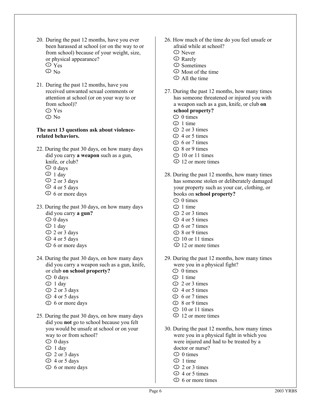- 20. During the past 12 months, have you ever been harassed at school (or on the way to or from school) because of your weight, size, or physical appearance?  $\nu$  Yes
	- $\mathfrak{D}$  No
- 21. During the past 12 months, have you received unwanted sexual comments or attention at school (or on your way to or from school)? Yes 1
	- No 2

#### **The next 13 questions ask about violencerelated behaviors.**

- 22. During the past 30 days, on how many days did you carry **a weapon** such as a gun, knife, or club?
	- $\overline{D}$  0 days
	- $\supset$  1 day
	- <sup>3</sup> 2 or 3 days
	- $4$  or 5 days
	- 6 or more days 5
- 23. During the past 30 days, on how many days did you carry **a gun?** 
	- $\overline{D}$  0 days
	- $\supset$  1 day
	- 2 or 3 days 3
	- 4 or 5 days 4
	- 6 or more days 5
- 24. During the past 30 days, on how many days did you carry a weapon such as a gun, knife, or club **on school property?** 
	- $\overline{D}$  0 days
	- $\supset$  1 day
	- D 2 or 3 days
	- 4 or 5 days 4
	- $6$  or more days
- 25. During the past 30 days, on how many days did you **not** go to school because you felt you would be unsafe at school or on your way to or from school?
	- $\supset$  0 days
	- $\supset$  1 day
	- 2 or 3 days 3
	- 4 or 5 days 4
	- $6$  or more days
- 26. How much of the time do you feel unsafe or afraid while at school?
	- Never 1
	- Rarely 2
	- Sometimes 3
	- <sup>4</sup> Most of the time
	- All the time 5
- 27. During the past 12 months, how many times has someone threatened or injured you with a weapon such as a gun, knife, or club **on school property?**

- $\overline{D}$  0 times
- $\mathfrak{D}$  1 time
- 2 or 3 times 3
- $\triangle$  4 or 5 times
- D 6 or 7 times
- $\odot$  8 or 9 times
- $\overline{D}$  10 or 11 times
- **D** 12 or more times
- 28. During the past 12 months, how many times has someone stolen or deliberately damaged your property such as your car, clothing, or books on **school property?** 
	- $\supset$  0 times
	- $\supset$  1 time
	- D 2 or 3 times
	- $\triangle$  4 or 5 times
	- $6$  or 7 times
	- $\odot$  8 or 9 times
	- $\overline{D}$  10 or 11 times
	- **D** 12 or more times
- 29. During the past 12 months, how many times were you in a physical fight?
	- $\overline{D}$  0 times
	- $\mathfrak{D}$  1 time
	- D 2 or 3 times
	- $4$  or 5 times
	- D 6 or 7 times
	- $\odot$  8 or 9 times
	- $\overline{D}$  10 or 11 times
	- **D** 12 or more times
- 30. During the past 12 months, how many times were you in a physical fight in which you were injured and had to be treated by a doctor or nurse?
	- $\overline{D}$  0 times
	- $\mathfrak{D}$  1 time
	- D 2 or 3 times
	- $\overline{4}$  or 5 times
	- S 6 or more times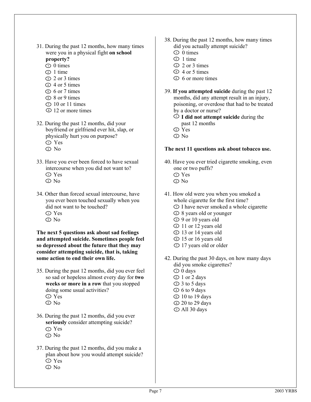- 31. During the past 12 months, how many times were you in a physical fight **on school property?** 
	- $\supset$  0 times
	- $\supset$  1 time
	- 2 or 3 times 3
	- $\triangle$  4 or 5 times
	- $6$  or 7 times
	- $\odot$  8 or 9 times
	- $\overline{D}$  10 or 11 times
	- **D** 12 or more times
- 32. During the past 12 months, did your boyfriend or girlfriend ever hit, slap, or physically hurt you on purpose? Yes 1
	- No 2
- 33. Have you ever been forced to have sexual intercourse when you did not want to? Yes 1
	- $\mathfrak{D}$  No
- 34. Other than forced sexual intercourse, have you ever been touched sexually when you did not want to be touched? Yes 1  $\mathfrak{D}$  No

**The next 5 questions ask about sad feelings and attempted suicide. Sometimes people feel so depressed about the future that they may consider attempting suicide, that is, taking some action to end their own life.** 

- 35. During the past 12 months, did you ever feel so sad or hopeless almost every day for **two weeks or more in a row** that you stopped doing some usual activities? Yes 1
	- $\mathfrak{D}$  No
- 36. During the past 12 months, did you ever **seriously** consider attempting suicide? Yes 1
	- No 2
- 37. During the past 12 months, did you make a plan about how you would attempt suicide? Yes 1 No 2
- 38. During the past 12 months, how many times did you actually attempt suicide?
	- $\overline{D}$  0 times
	- $\supset$  1 time
	- D 2 or 3 times
	- $\overline{4}$  or 5 times
	- **5** 6 or more times
- 39. **If you attempted suicide** during the past 12 months, did any attempt result in an injury, poisoning, or overdose that had to be treated by a doctor or nurse?
	- **I did not attempt suicide** during the 1 past 12 months
	- Yes 2
	- $\mathfrak{D}$  No

#### **The next 11 questions ask about tobacco use.**

- 40. Have you ever tried cigarette smoking, even one or two puffs?
	- Yes 1
	- No 2
- 41. How old were you when you smoked a whole cigarette for the first time? D I have never smoked a whole cigarette
	- 8 years old or younger 2
	- 9 or 10 years old 3
	- 11 or 12 years old 4
	- D 13 or 14 years old
	- D 15 or 16 years old
	- $D$  17 years old or older
- 42. During the past 30 days, on how many days did you smoke cigarettes?
	- $\overline{D} 0$  days
	- 1 or 2 days 2
	- 3 to 5 days 3
	- $\overline{6}$  to 9 days
	- D 10 to 19 days
	- **20** to 29 days
	- $\overline{D}$  All 30 days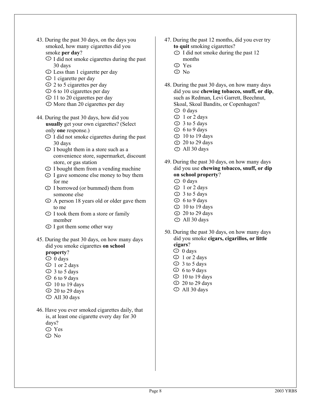- 43. During the past 30 days, on the days you smoked, how many cigarettes did you smoke **per day**?
	- $\mathcal{D}$  I did not smoke cigarettes during the past 30 days
	- Less than 1 cigarette per day 2
	- D 1 cigarette per day
	- $\overline{2}$  2 to 5 cigarettes per day
	- $\overline{5}$  6 to 10 cigarettes per day
	- If to 20 cigarettes per day
	- $\mathcal D$  More than 20 cigarettes per day
- 44. During the past 30 days, how did you **usually** get your own cigarettes? (Select only **one** response.)
	- $\mathcal{D}$  I did not smoke cigarettes during the past 30 days
	- I bought them in a store such as a 2 convenience store, supermarket, discount store, or gas station
	- I bought them from a vending machine
	- I gave someone else money to buy them 4 for me
	- I borrowed (or bummed) them from 5 someone else
	- $\odot$  A person 18 years old or older gave them to me
	- $\mathcal{D}$  I took them from a store or family member
	- I got them some other way
- 45. During the past 30 days, on how many days did you smoke cigarettes **on school** 
	- **property**?
	- $\supset$  0 days
	- 1 or 2 days 2
	- 3 to 5 days 3
	- $\overline{6}$  to 9 days
	- $\textdegree$  10 to 19 days
	- $\Omega$  20 to 29 days
	- $\mathcal D$  All 30 days
- 46. Have you ever smoked cigarettes daily, that is, at least one cigarette every day for 30 days?
	- Yes 1
	- No 2
- 47. During the past 12 months, did you ever try **to quit** smoking cigarettes?
	- $\overline{D}$  I did not smoke during the past 12 months
	- Yes 2
	- $\mathbb{D}$  No
- 48. During the past 30 days, on how many days did you use **chewing tobacco, snuff, or dip**, such as Redman, Levi Garrett, Beechnut, Skoal, Skoal Bandits, or Copenhagen?
	- $\supset$  0 days
	- 1 or 2 days 2
	- 3 to 5 days 3
	- $\overline{6}$  to 9 days
	- $5\sqrt{10}$  to 19 days
	- **20** to 29 days
	- $\overline{D}$  All 30 days
- 49. During the past 30 days, on how many days did you use **chewing tobacco, snuff, or dip on school property**?
	- $\supset$  0 days
	- 1 or 2 days 2
	- 3 to 5 days 3
	- $\overline{6}$  to 9 days
	- $5\,$  10 to 19 days
	- **20** to 29 days
	- $\overline{D}$  All 30 days
- 50. During the past 30 days, on how many days did you smoke **cigars, cigarillos, or little cigars**?
	- $\supset$  0 days
	- 1 or 2 days 2
	- 3 to 5 days 3
	- $\overline{6}$  to 9 days
	- $\overline{5}$  10 to 19 days
	- $\Omega$  20 to 29 days
	- $\overline{D}$  All 30 days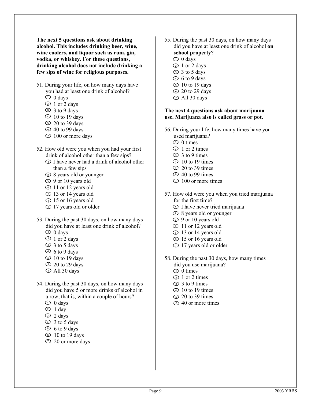**The next 5 questions ask about drinking alcohol. This includes drinking beer, wine, wine coolers, and liquor such as rum, gin, vodka, or whiskey. For these questions, drinking alcohol does not include drinking a few sips of wine for religious purposes.** 

- 51. During your life, on how many days have you had at least one drink of alcohol?
	- $\supset$  0 days
	- 1 or 2 days 2
	- 3 to 9 days 3
	- $\overline{4}$  10 to 19 days
	- $\Omega$  20 to 39 days
	- **40 to 99 days**
	- D 100 or more days
- 52. How old were you when you had your first drink of alcohol other than a few sips?
	- D I have never had a drink of alcohol other than a few sips
	- 8 years old or younger 2
	- D 9 or 10 years old
	- 11 or 12 years old 4
	- D 13 or 14 years old
	- D 15 or 16 years old
	- $D$  17 years old or older
- 53. During the past 30 days, on how many days did you have at least one drink of alcohol?
	- $\overline{D}$  0 days
	- 1 or 2 days 2
	- 3 to 5 days 3
	- $\overline{6}$  to 9 days
	- $\overline{5}$  10 to 19 days
	- $\Omega$  20 to 29 days
	- $\overline{D}$  All 30 days
- 54. During the past 30 days, on how many days did you have 5 or more drinks of alcohol in a row, that is, within a couple of hours?
	- $\supset$  0 days
	- $\supset$  1 day
	- D 2 days
	- $\overline{3}$  to 5 days
	- $5\,6$  to 9 days
	- $\odot$  10 to 19 days
	- $\overline{2}$  20 or more days
- 55. During the past 30 days, on how many days did you have at least one drink of alcohol **on school property**?
	- $\supset$  0 days
	- 1 or 2 days 2
	- 3 to 5 days 3
	- $\overline{6}$  to 9 days
	- **10** to 19 days
	- **E** 20 to 29 days
	- $\overline{D}$  All 30 days

#### **The next 4 questions ask about marijuana use. Marijuana also is called grass or pot.**

- 56. During your life, how many times have you used marijuana?
	- $\overline{D}$  0 times
	- $\supset$  1 or 2 times
	- $\overline{3}$  3 to 9 times
	- $\overline{4}$  10 to 19 times
	- $\overline{5}$  20 to 39 times
	- $\Omega$  40 to 99 times
	- $\overline{D}$  100 or more times
- 57. How old were you when you tried marijuana for the first time?
	- D I have never tried marijuana
	- 8 years old or younger 2
	- 9 or 10 years old 3
	- 11 or 12 years old 4
	- D 13 or 14 years old
	- D 15 or 16 years old
	- $D$  17 years old or older
- 58. During the past 30 days, how many times did you use marijuana?
	- $\supset$  0 times
	- 2 1 or 2 times
	- 3 to 9 times 3
	- $\overline{4}$  10 to 19 times
	- $\Omega$  20 to 39 times
	- 40 or more times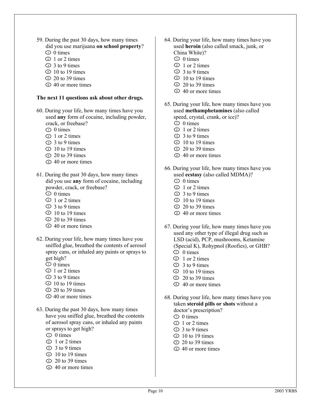- 59. During the past 30 days, how many times did you use marijuana **on school property**?
	- $\overline{D}$  0 times
	- $\mathcal{D}$  1 or 2 times
	- $\overline{3}$  to 9 times
	- $\overline{4}$  10 to 19 times
	- $\Omega$  20 to 39 times
	- 40 or more times

#### **The next 11 questions ask about other drugs.**

- 60. During your life, how many times have you used **any** form of cocaine, including powder, crack, or freebase?
	- $\supset$  0 times
	- $\geq 1$  or 2 times
	- 3 to 9 times
	- $\overline{4}$  10 to 19 times
	- $\Omega$  20 to 39 times
	- 40 or more times
- 61. During the past 30 days, how many times did you use **any** form of cocaine, including powder, crack, or freebase?
	- $\overline{D}$  0 times
	- $\overline{2}$  1 or 2 times
	- $\overline{3}$  to 9 times
	- $\overline{4}$  10 to 19 times
	- $\overline{5}$  20 to 39 times
	- 40 or more times
- 62. During your life, how many times have you sniffed glue, breathed the contents of aerosol spray cans, or inhaled any paints or sprays to get high?
	- $\overline{D}$  0 times
	- $\overline{2}$  1 or 2 times
	- $\overline{3}$  to 9 times
	- $\overline{4}$  10 to 19 times
	- $\Omega$  20 to 39 times
	- 40 or more times
- 63. During the past 30 days, how many times have you sniffed glue, breathed the contents of aerosol spray cans, or inhaled any paints or sprays to get high?
	- $\overline{D}$  0 times
	- 2 1 or 2 times
	- $\overline{3}$  3 to 9 times
	- $\overline{4}$  10 to 19 times
	- $\Omega$  20 to 39 times
	- 40 or more times
- 64. During your life, how many times have you used **heroin** (also called smack, junk, or China White)?
	- $\overline{D}$  0 times
	- $\supset$  1 or 2 times
	- $\overline{3}$  to 9 times
	- $\overline{4}$  10 to 19 times
	- $\overline{5}$  20 to 39 times
	- 40 or more times
- 65. During your life, how many times have you used **methamphetamines** (also called speed, crystal, crank, or ice)?
	- $\overline{D}$  0 times
	- $\supset$  1 or 2 times
	- $\overline{3}$  to 9 times
	- $\overline{4}$  10 to 19 times
	- $\overline{5}$  20 to 39 times • 40 or more times
	-
- 66. During your life, how many times have you used **ecstasy** (also called MDMA)?  $\overline{D}$  0 times
	- $\supset$  1 or 2 times
	- $\overline{3}$  to 9 times
	- $\overline{4}$  10 to 19 times
	- $\Omega$  20 to 39 times
	- 40 or more times
- 67. During your life, how many times have you used any other type of illegal drug such as LSD (acid), PCP, mushrooms, Ketamine (Special K), Rohypnol (Roofies), or GHB?
	- $\supset$  0 times
	- $\supset$  1 or 2 times
	- $\overline{3}$  to 9 times
	- $\overline{4}$  10 to 19 times
	- $\overline{5}$  20 to 39 times • 40 or more times
- 68. During your life, how many times have you taken **steroid pills or shots** without a doctor's prescription?  $\overline{D}$  0 times
	- $\supset$  1 or 2 times
	- 3 to 9 times 3
	- $\overline{4}$  10 to 19 times
	- $\Omega$  20 to 39 times
	- 40 or more times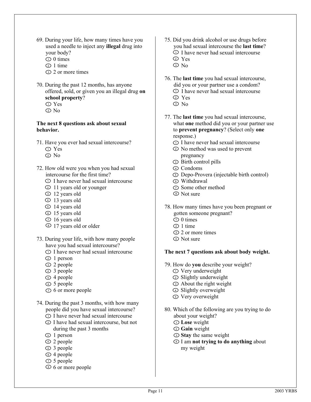- 69. During your life, how many times have you used a needle to inject any **illegal** drug into your body?
	- $\overline{D}$  0 times
	- $\mathfrak{D}$  1 time
	- D 2 or more times
- 70. During the past 12 months, has anyone offered, sold, or given you an illegal drug **on school property**?
	- Yes 1
	- No 2

#### **The next 8 questions ask about sexual behavior.**

- 71. Have you ever had sexual intercourse? Yes 1
	- No 2
- 72. How old were you when you had sexual intercourse for the first time?
	- D I have never had sexual intercourse
	- 11 years old or younger 2
	- D 12 years old
	- 13 years old 4
	- D 14 years old
	- D 15 years old
	- $D$  16 years old
	- **D** 17 years old or older
- 73. During your life, with how many people have you had sexual intercourse?
	- D I have never had sexual intercourse
	- 1 person 2
	- D 2 people
	- 3 people 4
	- D 4 people
	- S people
	- $\overline{D}$  6 or more people
- 74. During the past 3 months, with how many people did you have sexual intercourse?
	- D I have never had sexual intercourse
	- I have had sexual intercourse, but not 2 during the past 3 months
	- D 1 person
	- 2 people 4
	- D 3 people
	- D 4 people
	- $\overline{D}$  5 people
	- 6 or more people 8
- 75. Did you drink alcohol or use drugs before you had sexual intercourse the **last time**?
	- D I have never had sexual intercourse
	- Yes 2
	- $\mathfrak{D}$  No
- 76. The **last time** you had sexual intercourse, did you or your partner use a condom? D I have never had sexual intercourse
	- Yes 2
	- $\mathbb{D}$  No
- 77. The **last time** you had sexual intercourse, what **one** method did you or your partner use to **prevent pregnancy**? (Select only **one**  response.)
	- D I have never had sexual intercourse
	- No method was used to prevent 2 pregnancy
	- **D** Birth control pills
	- Condoms 4
	- Depo-Provera (injectable birth control)
	- Withdrawal 6
	- $\mathcal D$  Some other method
	- **D** Not sure
- 78. How many times have you been pregnant or gotten someone pregnant?
	- $\overline{D}$  0 times
	- $\mathfrak{D}$  1 time
	- D 2 or more times
	- Not sure 4

#### **The next 7 questions ask about body weight.**

- 79. How do **you** describe your weight?
	- D Very underweight
	- Slightly underweight 2
	- **Example 3** About the right weight
	- Slightly overweight 4
	- Very overweight 5
- 80. Which of the following are you trying to do about your weight?
	- **Lose** weight 1
	- **Gain** weight 2
	- **Stay** the same weight
	- I am **not trying to do anything** about 4 my weight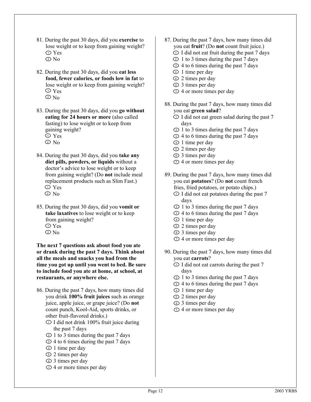- 81. During the past 30 days, did you **exercise** to lose weight or to keep from gaining weight? Yes 1 No 2
- 82. During the past 30 days, did you **eat less food, fewer calories, or foods low in fat** to lose weight or to keep from gaining weight?  $\mathcal D$  Yes  $\mathfrak{D}$  No
- 83. During the past 30 days, did you **go without eating for 24 hours or more** (also called fasting) to lose weight or to keep from gaining weight? Yes 1  $\mathfrak{D}$  No
- 84. During the past 30 days, did you **take any diet pills, powders, or liquids** without a doctor's advice to lose weight or to keep from gaining weight? (Do **not** include meal replacement products such as Slim Fast.)  $\n **D** Yes$  $\mathfrak{D}$  No
- 85. During the past 30 days, did you **vomit or take laxatives** to lose weight or to keep from gaining weight?  $\mathcal D$  Yes
	- No 2

**The next 7 questions ask about food you ate or drank during the past 7 days. Think about all the meals and snacks you had from the time you got up until you went to bed. Be sure to include food you ate at home, at school, at restaurants, or anywhere else.** 

- 86. During the past 7 days, how many times did you drink **100% fruit juices** such as orange juice, apple juice, or grape juice? (Do **not**  count punch, Kool-Aid, sports drinks, or other fruit-flavored drinks.)
	- D I did not drink 100% fruit juice during the past 7 days
	- $\geq 1$  to 3 times during the past 7 days
	- 4 to 6 times during the past 7 days 3
	- 1 time per day 4
	- D 2 times per day
	- D 3 times per day
	- $\overline{D}$  4 or more times per day
- 87. During the past 7 days, how many times did you eat **fruit**? (Do **not** count fruit juice.)
	- $\overline{D}$  I did not eat fruit during the past 7 days
	- $\geq 1$  to 3 times during the past 7 days
	- 4 to 6 times during the past 7 days 3
	- $\overline{4}$  1 time per day
	- D 2 times per day
	- If 1 times per day
	- $\overline{D}$  4 or more times per day
- 88. During the past 7 days, how many times did you eat **green salad**?
	- $D$  I did not eat green salad during the past 7 days
	- $\geq 1$  to 3 times during the past 7 days
	- If 2 4 to 6 times during the past 7 days
	- 1 time per day 4
	- D 2 times per day
	- If times per day
	- $\overline{D}$  4 or more times per day
- 89. During the past 7 days, how many times did you eat **potatoes**? (Do **not** count french fries, fried potatoes, or potato chips.)
	- $\overline{D}$  I did not eat potatoes during the past 7 days
	- $\mathcal{D}$  1 to 3 times during the past 7 days
	- 4 to 6 times during the past 7 days 3
	- 1 time per day 4
	- D 2 times per day
	- If 10 times per day
	- $\overline{D}$  4 or more times per day
- 90. During the past 7 days, how many times did you eat **carrots**?
	- $\overline{D}$  I did not eat carrots during the past 7 days
	- $\geq 1$  to 3 times during the past 7 days
	- 4 to 6 times during the past 7 days 3
	- 1 time per day 4
	- D 2 times per day
	- If 10 imes per day
	- $\overline{D}$  4 or more times per day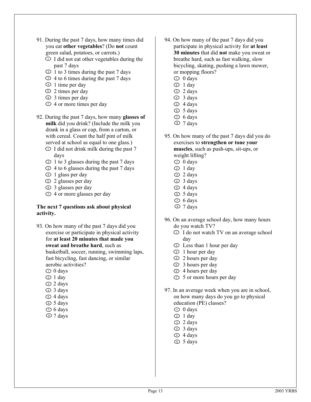- 91. During the past 7 days, how many times did you eat **other vegetables**? (Do **not** count green salad, potatoes, or carrots.)
	- $\mathcal{D}$  I did not eat other vegetables during the past 7 days
	- $\geq 1$  to 3 times during the past 7 days
	- 4 to 6 times during the past 7 days 3
	- $\overline{4}$  1 time per day
	- D 2 times per day
	- **E** 3 times per day
	- $\overline{D}$  4 or more times per day
- 92. During the past 7 days, how many **glasses of milk** did you drink? (Include the milk you drank in a glass or cup, from a carton, or with cereal. Count the half pint of milk served at school as equal to one glass.)
	- $\overline{D}$  I did not drink milk during the past 7 days
	- $\mathcal{D}$  1 to 3 glasses during the past 7 days
	- 4 to 6 glasses during the past 7 days 3
	- 1 glass per day 4
	- 2 glasses per day 5
	- 3 glasses per day 6
	- $\overline{D}$  4 or more glasses per day

#### **The next 7 questions ask about physical activity.**

- 93. On how many of the past 7 days did you exercise or participate in physical activity for **at least 20 minutes that made you sweat and breathe hard**, such as basketball, soccer, running, swimming laps, fast bicycling, fast dancing, or similar aerobic activities?
	- $\supset$  0 days
	- $\supset$  1 day
	- 2 days 3
	- 3 days 4
	- 4 days 5
	- D 5 days
	- $\overline{D}$  6 days
	- 7 days 8
- 94. On how many of the past 7 days did you participate in physical activity for **at least 30 minutes** that did **not** make you sweat or breathe hard, such as fast walking, slow bicycling, skating, pushing a lawn mower, or mopping floors?
	- $\supset$  0 days
	- $\supset$  1 day
	- 2 days 3
	- 3 days 4
	- D 4 days
	- 5 days 6
	- $\overline{D}$  6 days
	- D 7 days
- 95. On how many of the past 7 days did you do exercises to **strengthen or tone your muscles**, such as push-ups, sit-ups, or weight lifting?
	- $\supset$  0 days
	- $\supset$  1 day
	- 2 days 3
	- 3 days 4
	- 4 days 5
	- 5 days 6
	- $\overline{D}$  6 days
	- D 7 days
- 96. On an average school day, how many hours do you watch TV?
	- D I do not watch TV on an average school day
	- Less than 1 hour per day 2
	- **1** hour per day
	- 2 hours per day 4
	- **3** hours per day
	- **E** 4 hours per day
	- $\overline{D}$  5 or more hours per day
- 97. In an average week when you are in school, on how many days do you go to physical education (PE) classes?
	- $\supset$  0 days
	- $\supset$  1 day
	- 2 days 3
	- 3 days 4
	- 4 days 5
	- 5 days 6